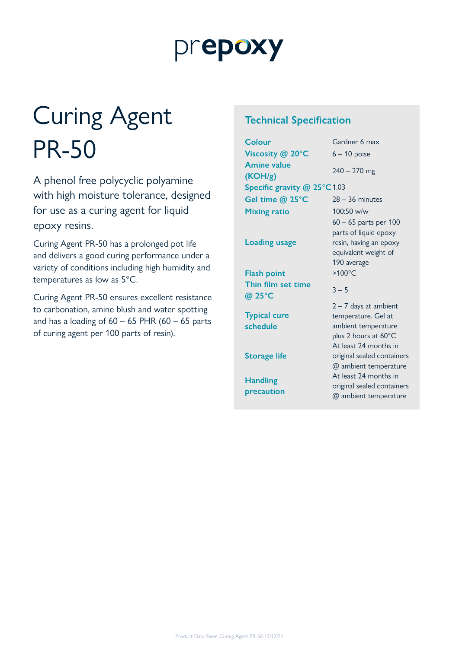## prepoxy

# Curing Agent PR-50

A phenol free polycyclic polyamine with high moisture tolerance, designed for use as a curing agent for liquid epoxy resins.

Curing Agent PR-50 has a prolonged pot life and delivers a good curing performance under a variety of conditions including high humidity and temperatures as low as 5°C.

Curing Agent PR-50 ensures excellent resistance to carbonation, amine blush and water spotting and has a loading of  $60 - 65$  PHR  $(60 - 65$  parts of curing agent per 100 parts of resin).

#### **Technical Specification**

| Colour                          | Gardner 6 max                                                                                                          |
|---------------------------------|------------------------------------------------------------------------------------------------------------------------|
| Viscosity @ 20°C                | $6 - 10$ poise                                                                                                         |
| <b>Amine value</b><br>(KOH/g)   | $240 - 270$ mg                                                                                                         |
| Specific gravity @ 25°C1.03     |                                                                                                                        |
| Gel time @ 25°C                 | $28 - 36$ minutes                                                                                                      |
| <b>Mixing ratio</b>             | 100:50 w/w                                                                                                             |
| <b>Loading usage</b>            | $60 - 65$ parts per 100<br>parts of liquid epoxy<br>resin, having an epoxy<br>equivalent weight of<br>190 average      |
| <b>Flash point</b>              | $>100^{\circ}$ C                                                                                                       |
| Thin film set time<br>@ 25°C    | $3 - 5$                                                                                                                |
| <b>Typical cure</b><br>schedule | $2 - 7$ days at ambient<br>temperature. Gel at<br>ambient temperature<br>plus 2 hours at 60°C<br>At least 24 months in |
| <b>Storage life</b>             | original sealed containers<br>@ ambient temperature                                                                    |
| <b>Handling</b><br>precaution   | At least 24 months in<br>original sealed containers<br>@ ambient temperature                                           |